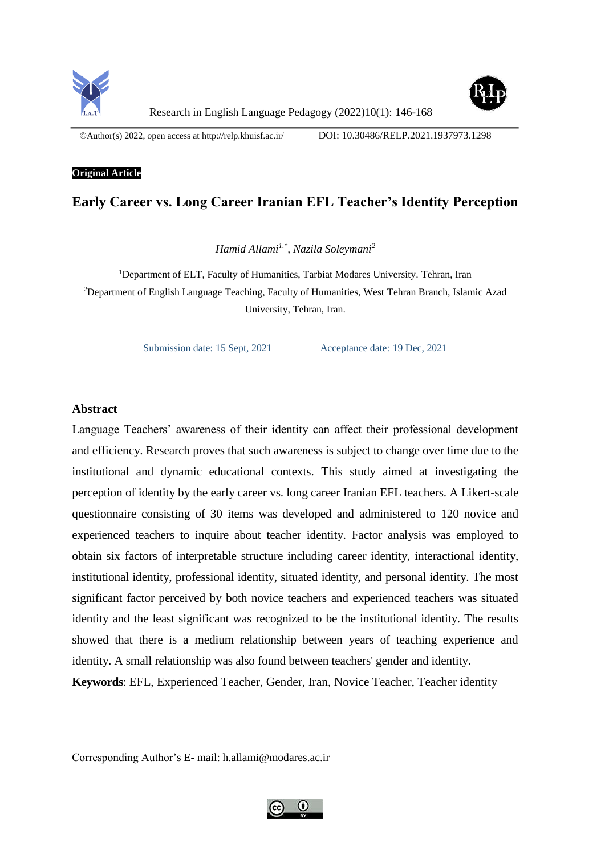



©Author(s) 2022, open access a[t http://relp.khuisf.ac.ir/](http://relp.khuisf.ac.ir/) DOI: 10.30486/RELP.2021.1937973.1298

# **Original Article**

# **Early Career vs. Long Career Iranian EFL Teacher's Identity Perception**

*Hamid Allami1,\*, Nazila Soleymani<sup>2</sup>*

<sup>1</sup>Department of ELT, Faculty of Humanities, Tarbiat Modares University. Tehran, Iran <sup>2</sup>Department of English Language Teaching, Faculty of Humanities, West Tehran Branch, Islamic Azad University, Tehran, Iran.

Submission date: 15 Sept. 2021 Acceptance date: 19 Dec. 2021

# **Abstract**

Language Teachers' awareness of their identity can affect their professional development and efficiency. Research proves that such awareness is subject to change over time due to the institutional and dynamic educational contexts. This study aimed at investigating the perception of identity by the early career vs. long career Iranian EFL teachers. A Likert-scale questionnaire consisting of 30 items was developed and administered to 120 novice and experienced teachers to inquire about teacher identity. Factor analysis was employed to obtain six factors of interpretable structure including career identity, interactional identity, institutional identity, professional identity, situated identity, and personal identity. The most significant factor perceived by both novice teachers and experienced teachers was situated identity and the least significant was recognized to be the institutional identity. The results showed that there is a medium relationship between years of teaching experience and identity. A small relationship was also found between teachers' gender and identity.

**Keywords**: EFL, Experienced Teacher, Gender, Iran, Novice Teacher, Teacher identity

Corresponding Author's E- mail: h.allami@modares.ac.ir

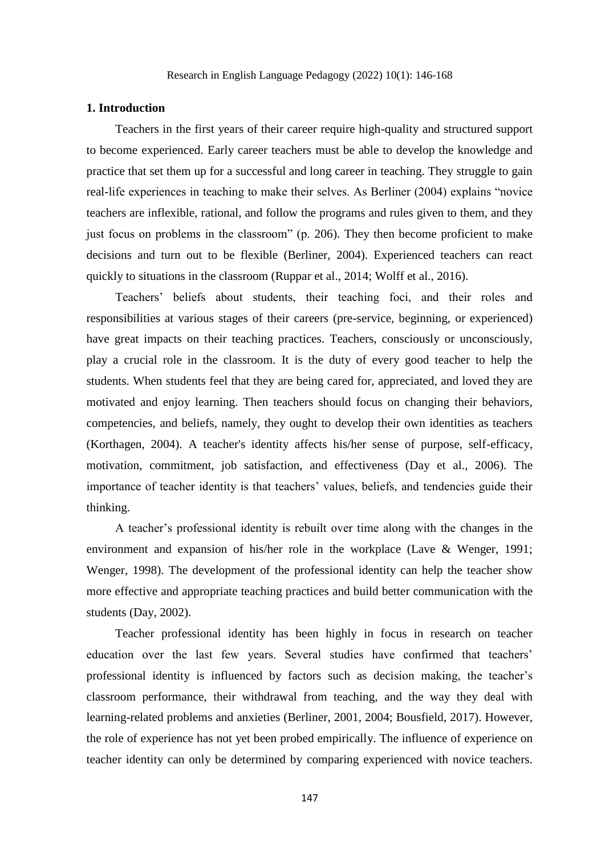### **1. Introduction**

Teachers in the first years of their career require high-quality and structured support to become experienced. Early career teachers must be able to develop the knowledge and practice that set them up for a successful and long career in teaching. They struggle to gain real-life experiences in teaching to make their selves. As Berliner (2004) explains "novice teachers are inflexible, rational, and follow the programs and rules given to them, and they just focus on problems in the classroom" (p. 206). They then become proficient to make decisions and turn out to be flexible (Berliner, 2004). Experienced teachers can react quickly to situations in the classroom (Ruppar et al., 2014; Wolff et al., 2016).

Teachers' beliefs about students, their teaching foci, and their roles and responsibilities at various stages of their careers (pre-service, beginning, or experienced) have great impacts on their teaching practices. Teachers, consciously or unconsciously, play a crucial role in the classroom. It is the duty of every good teacher to help the students. When students feel that they are being cared for, appreciated, and loved they are motivated and enjoy learning. Then teachers should focus on changing their behaviors, competencies, and beliefs, namely, they ought to develop their own identities as teachers (Korthagen, 2004). A teacher's identity affects his/her sense of purpose, self-efficacy, motivation, commitment, job satisfaction, and effectiveness (Day et al., 2006). The importance of teacher identity is that teachers' values, beliefs, and tendencies guide their thinking.

A teacher's professional identity is rebuilt over time along with the changes in the environment and expansion of his/her role in the workplace (Lave & Wenger, 1991; Wenger, 1998). The development of the professional identity can help the teacher show more effective and appropriate teaching practices and build better communication with the students (Day, 2002).

Teacher professional identity has been highly in focus in research on teacher education over the last few years. Several studies have confirmed that teachers' professional identity is influenced by factors such as decision making, the teacher's classroom performance, their withdrawal from teaching, and the way they deal with learning-related problems and anxieties (Berliner, 2001, 2004; Bousfield, 2017). However, the role of experience has not yet been probed empirically. The influence of experience on teacher identity can only be determined by comparing experienced with novice teachers.

147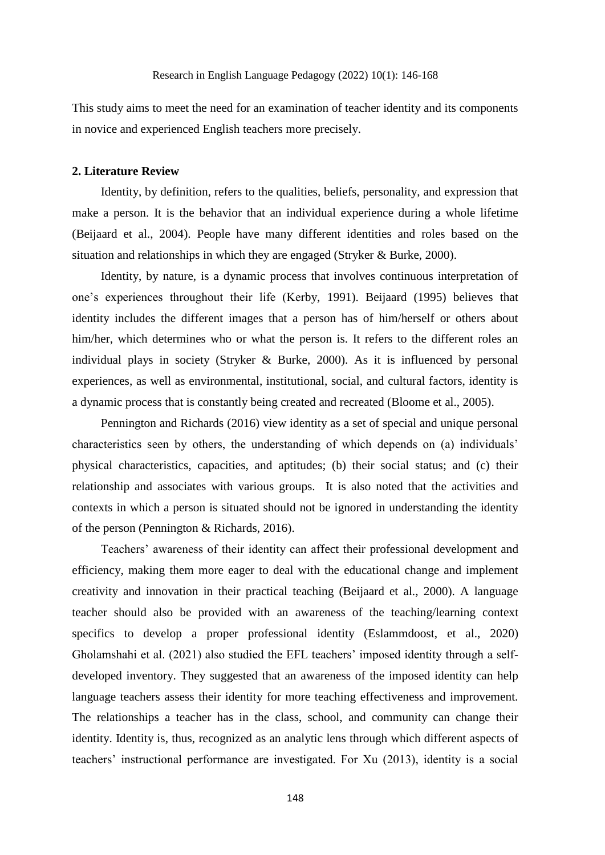This study aims to meet the need for an examination of teacher identity and its components in novice and experienced English teachers more precisely.

### **2. Literature Review**

Identity, by definition, refers to the qualities, beliefs, personality, and expression that make a person. It is the behavior that an individual experience during a whole lifetime (Beijaard et al., 2004). People have many different identities and roles based on the situation and relationships in which they are engaged (Stryker & Burke, 2000).

Identity, by nature, is a dynamic process that involves continuous interpretation of one's experiences throughout their life (Kerby, 1991). Beijaard (1995) believes that identity includes the different images that a person has of him/herself or others about him/her, which determines who or what the person is. It refers to the different roles an individual plays in society (Stryker & Burke, 2000). As it is influenced by personal experiences, as well as environmental, institutional, social, and cultural factors, identity is a dynamic process that is constantly being created and recreated (Bloome et al., 2005).

Pennington and Richards (2016) view identity as a set of special and unique personal characteristics seen by others, the understanding of which depends on (a) individuals' physical characteristics, capacities, and aptitudes; (b) their social status; and (c) their relationship and associates with various groups. It is also noted that the activities and contexts in which a person is situated should not be ignored in understanding the identity of the person (Pennington & Richards, 2016).

Teachers' awareness of their identity can affect their professional development and efficiency, making them more eager to deal with the educational change and implement creativity and innovation in their practical teaching (Beijaard et al., 2000). A language teacher should also be provided with an awareness of the teaching/learning context specifics to develop a proper professional identity (Eslammdoost, et al., 2020) Gholamshahi et al. (2021) also studied the EFL teachers' imposed identity through a selfdeveloped inventory. They suggested that an awareness of the imposed identity can help language teachers assess their identity for more teaching effectiveness and improvement. The relationships a teacher has in the class, school, and community can change their identity. Identity is, thus, recognized as an analytic lens through which different aspects of teachers' instructional performance are investigated. For Xu (2013), identity is a social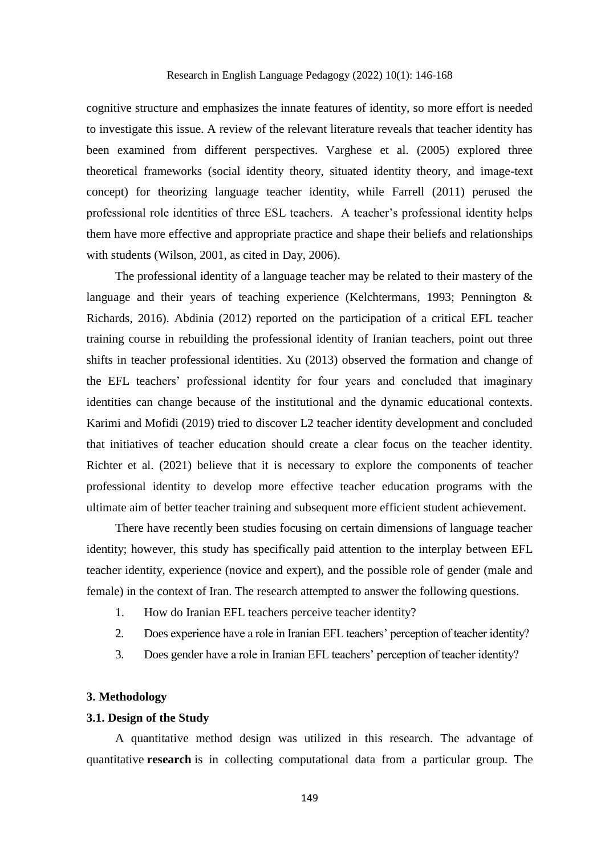cognitive structure and emphasizes the innate features of identity, so more effort is needed to investigate this issue. A review of the relevant literature reveals that teacher identity has been examined from different perspectives. Varghese et al. (2005) explored three theoretical frameworks (social identity theory, situated identity theory, and image-text concept) for theorizing language teacher identity, while Farrell (2011) perused the professional role identities of three ESL teachers. A teacher's professional identity helps them have more effective and appropriate practice and shape their beliefs and relationships with students (Wilson, 2001, as cited in Day, 2006).

The professional identity of a language teacher may be related to their mastery of the language and their years of teaching experience (Kelchtermans, 1993; Pennington & Richards, 2016). Abdinia (2012) reported on the participation of a critical EFL teacher training course in rebuilding the professional identity of Iranian teachers, point out three shifts in teacher professional identities. Xu (2013) observed the formation and change of the EFL teachers' professional identity for four years and concluded that imaginary identities can change because of the institutional and the dynamic educational contexts. Karimi and Mofidi (2019) tried to discover L2 teacher identity development and concluded that initiatives of teacher education should create a clear focus on the teacher identity. Richter et al. (2021) believe that it is necessary to explore the components of teacher professional identity to develop more effective teacher education programs with the ultimate aim of better teacher training and subsequent more efficient student achievement.

There have recently been studies focusing on certain dimensions of language teacher identity; however, this study has specifically paid attention to the interplay between EFL teacher identity, experience (novice and expert), and the possible role of gender (male and female) in the context of Iran. The research attempted to answer the following questions.

- 1. How do Iranian EFL teachers perceive teacher identity?
- 2. Does experience have a role in Iranian EFL teachers' perception of teacher identity?
- 3. Does gender have a role in Iranian EFL teachers' perception of teacher identity?

# **3. Methodology**

### **3.1. Design of the Study**

A quantitative method design was utilized in this research. The advantage of quantitative **research** is in collecting computational data from a particular group. The

149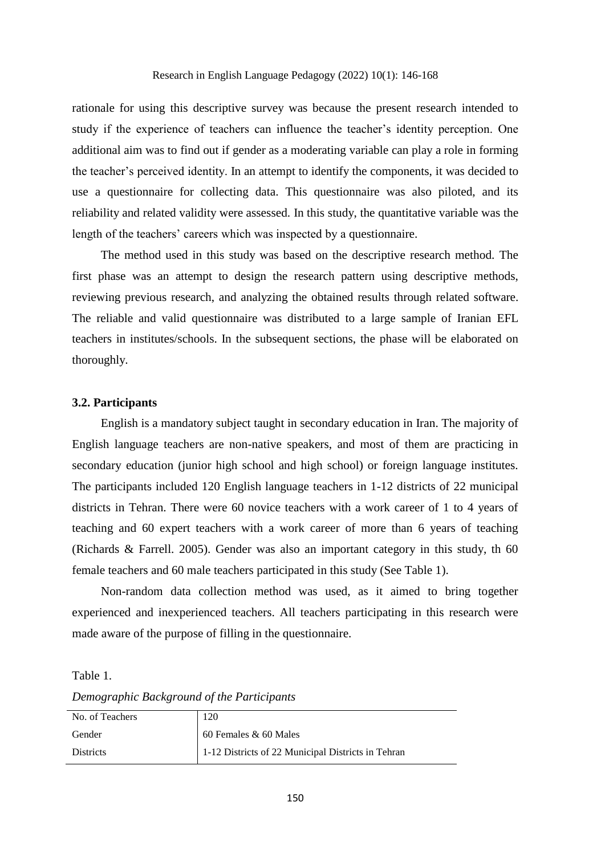rationale for using this descriptive survey was because the present research intended to study if the experience of teachers can influence the teacher's identity perception. One additional aim was to find out if gender as a moderating variable can play a role in forming the teacher's perceived identity. In an attempt to identify the components, it was decided to use a questionnaire for collecting data. This questionnaire was also piloted, and its reliability and related validity were assessed. In this study, the quantitative variable was the length of the teachers' careers which was inspected by a questionnaire.

The method used in this study was based on the descriptive research method. The first phase was an attempt to design the research pattern using descriptive methods, reviewing previous research, and analyzing the obtained results through related software. The reliable and valid questionnaire was distributed to a large sample of Iranian EFL teachers in institutes/schools. In the subsequent sections, the phase will be elaborated on thoroughly.

### **3.2. Participants**

English is a mandatory subject taught in secondary education in Iran. The majority of English language teachers are non-native speakers, and most of them are practicing in secondary education (junior high school and high school) or foreign language institutes. The participants included 120 English language teachers in 1-12 districts of 22 municipal districts in Tehran. There were 60 novice teachers with a work career of 1 to 4 years of teaching and 60 expert teachers with a work career of more than 6 years of teaching (Richards & Farrell. 2005). Gender was also an important category in this study, th 60 female teachers and 60 male teachers participated in this study (See Table 1).

Non-random data collection method was used, as it aimed to bring together experienced and inexperienced teachers. All teachers participating in this research were made aware of the purpose of filling in the questionnaire.

#### Table 1.

*Demographic Background of the Participants*

| No. of Teachers  | 120                                                |
|------------------|----------------------------------------------------|
| Gender           | 60 Females & 60 Males                              |
| <b>Districts</b> | 1-12 Districts of 22 Municipal Districts in Tehran |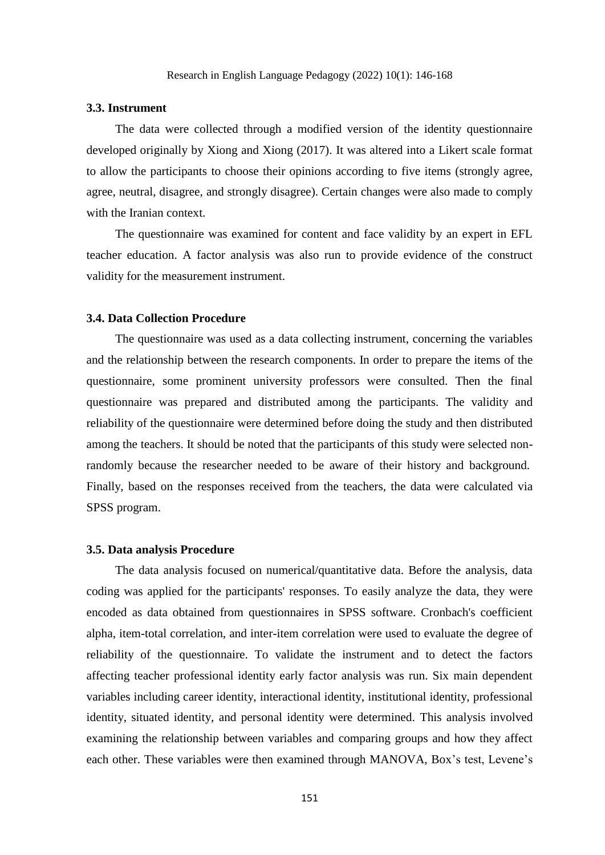### **3.3. Instrument**

The data were collected through a modified version of the identity questionnaire developed originally by Xiong and Xiong (2017). It was altered into a Likert scale format to allow the participants to choose their opinions according to five items (strongly agree, agree, neutral, disagree, and strongly disagree). Certain changes were also made to comply with the Iranian context.

The questionnaire was examined for content and face validity by an expert in EFL teacher education. A factor analysis was also run to provide evidence of the construct validity for the measurement instrument.

# **3.4. Data Collection Procedure**

The questionnaire was used as a data collecting instrument, concerning the variables and the relationship between the research components. In order to prepare the items of the questionnaire, some prominent university professors were consulted. Then the final questionnaire was prepared and distributed among the participants. The validity and reliability of the questionnaire were determined before doing the study and then distributed among the teachers. It should be noted that the participants of this study were selected nonrandomly because the researcher needed to be aware of their history and background. Finally, based on the responses received from the teachers, the data were calculated via SPSS program.

#### **3.5. Data analysis Procedure**

The data analysis focused on numerical/quantitative data. Before the analysis, data coding was applied for the participants' responses. To easily analyze the data, they were encoded as data obtained from questionnaires in SPSS software. Cronbach's coefficient alpha, item-total correlation, and inter-item correlation were used to evaluate the degree of reliability of the questionnaire. To validate the instrument and to detect the factors affecting teacher professional identity early factor analysis was run. Six main dependent variables including career identity, interactional identity, institutional identity, professional identity, situated identity, and personal identity were determined. This analysis involved examining the relationship between variables and comparing groups and how they affect each other. These variables were then examined through MANOVA, Box's test, Levene's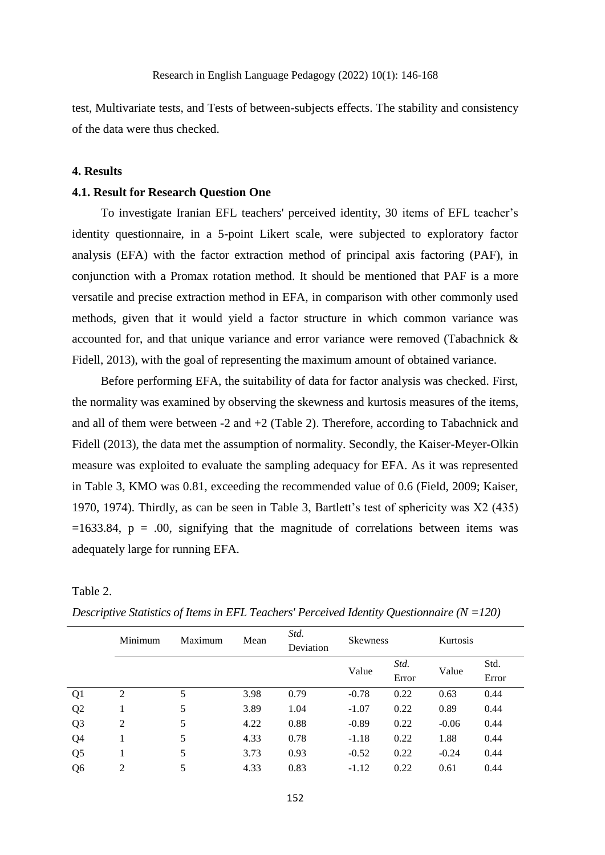test, Multivariate tests, and Tests of between-subjects effects. The stability and consistency of the data were thus checked.

# **4. Results**

### **4.1. Result for Research Question One**

To investigate Iranian EFL teachers' perceived identity, 30 items of EFL teacher's identity questionnaire, in a 5-point Likert scale, were subjected to exploratory factor analysis (EFA) with the factor extraction method of principal axis factoring (PAF), in conjunction with a Promax rotation method. It should be mentioned that PAF is a more versatile and precise extraction method in EFA, in comparison with other commonly used methods, given that it would yield a factor structure in which common variance was accounted for, and that unique variance and error variance were removed (Tabachnick & Fidell, 2013), with the goal of representing the maximum amount of obtained variance.

Before performing EFA, the suitability of data for factor analysis was checked. First, the normality was examined by observing the skewness and kurtosis measures of the items, and all of them were between  $-2$  and  $+2$  (Table 2). Therefore, according to Tabachnick and Fidell (2013), the data met the assumption of normality. Secondly, the Kaiser-Meyer-Olkin measure was exploited to evaluate the sampling adequacy for EFA. As it was represented in Table 3, KMO was 0.81, exceeding the recommended value of 0.6 (Field, 2009; Kaiser, 1970, 1974). Thirdly, as can be seen in Table 3, Bartlett's test of sphericity was X2 (435)  $=1633.84$ ,  $p = .00$ , signifying that the magnitude of correlations between items was adequately large for running EFA.

Table 2.

|                | Minimum | Maximum | Mean | Std.<br>Deviation | Skewness |      | Kurtosis       |       |
|----------------|---------|---------|------|-------------------|----------|------|----------------|-------|
|                |         |         |      |                   | Value    | Std. | Value<br>Error | Std.  |
|                |         |         |      |                   |          |      |                | Error |
| Q <sub>1</sub> | 2       | 5       | 3.98 | 0.79              | $-0.78$  | 0.22 | 0.63           | 0.44  |
| Q2             |         | 5       | 3.89 | 1.04              | $-1.07$  | 0.22 | 0.89           | 0.44  |
| Q <sub>3</sub> | 2       | 5       | 4.22 | 0.88              | $-0.89$  | 0.22 | $-0.06$        | 0.44  |
| Q <sub>4</sub> |         | 5       | 4.33 | 0.78              | $-1.18$  | 0.22 | 1.88           | 0.44  |
| Q <sub>5</sub> |         | 5       | 3.73 | 0.93              | $-0.52$  | 0.22 | $-0.24$        | 0.44  |
| Q <sub>6</sub> | 2       | 5       | 4.33 | 0.83              | $-1.12$  | 0.22 | 0.61           | 0.44  |

*Descriptive Statistics of Items in EFL Teachers' Perceived Identity Questionnaire (N =120)*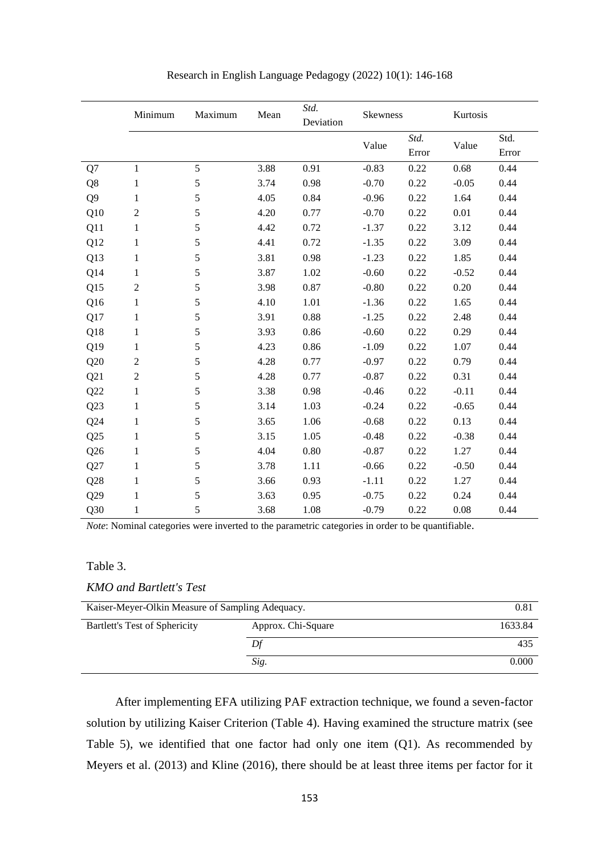|                | Minimum        | Maximum    | Mean | Std.<br>Deviation | Skewness |               | Kurtosis |               |
|----------------|----------------|------------|------|-------------------|----------|---------------|----------|---------------|
|                |                |            |      |                   | Value    | Std.<br>Error | Value    | Std.<br>Error |
| Q7             | $\mathbf{1}$   | $\sqrt{5}$ | 3.88 | 0.91              | $-0.83$  | 0.22          | 0.68     | 0.44          |
| Q8             | $\mathbf{1}$   | 5          | 3.74 | 0.98              | $-0.70$  | 0.22          | $-0.05$  | 0.44          |
| Q <sub>9</sub> | 1              | 5          | 4.05 | 0.84              | $-0.96$  | 0.22          | 1.64     | 0.44          |
| Q10            | $\overline{2}$ | $\sqrt{5}$ | 4.20 | 0.77              | $-0.70$  | 0.22          | 0.01     | 0.44          |
| Q11            | 1              | 5          | 4.42 | 0.72              | $-1.37$  | 0.22          | 3.12     | 0.44          |
| Q12            | $\mathbf{1}$   | 5          | 4.41 | 0.72              | $-1.35$  | 0.22          | 3.09     | 0.44          |
| Q13            | 1              | 5          | 3.81 | 0.98              | $-1.23$  | 0.22          | 1.85     | 0.44          |
| Q14            | 1              | 5          | 3.87 | 1.02              | $-0.60$  | 0.22          | $-0.52$  | 0.44          |
| Q15            | $\mathbf{2}$   | 5          | 3.98 | 0.87              | $-0.80$  | 0.22          | 0.20     | 0.44          |
| Q16            | $\mathbf{1}$   | 5          | 4.10 | 1.01              | $-1.36$  | 0.22          | 1.65     | 0.44          |
| Q17            | 1              | 5          | 3.91 | 0.88              | $-1.25$  | 0.22          | 2.48     | 0.44          |
| Q18            | $\mathbf{1}$   | 5          | 3.93 | 0.86              | $-0.60$  | 0.22          | 0.29     | 0.44          |
| Q19            | 1              | 5          | 4.23 | 0.86              | $-1.09$  | 0.22          | 1.07     | 0.44          |
| Q20            | $\overline{c}$ | $\sqrt{5}$ | 4.28 | 0.77              | $-0.97$  | 0.22          | 0.79     | 0.44          |
| Q21            | $\sqrt{2}$     | 5          | 4.28 | 0.77              | $-0.87$  | 0.22          | 0.31     | 0.44          |
| Q22            | $\mathbf{1}$   | 5          | 3.38 | 0.98              | $-0.46$  | 0.22          | $-0.11$  | 0.44          |
| Q23            | $\mathbf{1}$   | $\sqrt{5}$ | 3.14 | 1.03              | $-0.24$  | 0.22          | $-0.65$  | 0.44          |
| Q24            | 1              | 5          | 3.65 | 1.06              | $-0.68$  | 0.22          | 0.13     | 0.44          |
| Q25            | 1              | 5          | 3.15 | 1.05              | $-0.48$  | 0.22          | $-0.38$  | 0.44          |
| Q26            | $\mathbf{1}$   | $\sqrt{5}$ | 4.04 | 0.80              | $-0.87$  | 0.22          | 1.27     | 0.44          |
| Q27            | 1              | 5          | 3.78 | 1.11              | $-0.66$  | 0.22          | $-0.50$  | 0.44          |
| Q28            | 1              | 5          | 3.66 | 0.93              | $-1.11$  | 0.22          | 1.27     | 0.44          |
| Q29            | $\mathbf{1}$   | $\sqrt{5}$ | 3.63 | 0.95              | $-0.75$  | 0.22          | 0.24     | 0.44          |
| Q30            | 1              | 5          | 3.68 | 1.08              | $-0.79$  | 0.22          | 0.08     | 0.44          |

*Note*: Nominal categories were inverted to the parametric categories in order to be quantifiable.

### Table 3.

*KMO and Bartlett's Test*

| Kaiser-Meyer-Olkin Measure of Sampling Adequacy. |                    | 0.81    |
|--------------------------------------------------|--------------------|---------|
| Bartlett's Test of Sphericity                    | Approx. Chi-Square | 1633.84 |
|                                                  | Df                 | 435     |
|                                                  | Sig.               | 0.000   |

After implementing EFA utilizing PAF extraction technique, we found a seven-factor solution by utilizing Kaiser Criterion (Table 4). Having examined the structure matrix (see Table 5), we identified that one factor had only one item (Q1). As recommended by Meyers et al. (2013) and Kline (2016), there should be at least three items per factor for it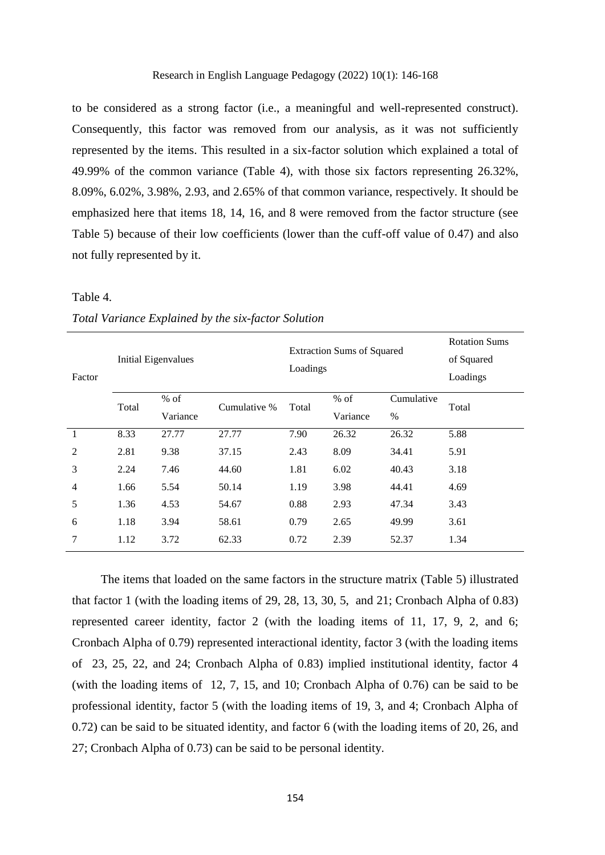to be considered as a strong factor (i.e., a meaningful and well-represented construct). Consequently, this factor was removed from our analysis, as it was not sufficiently represented by the items. This resulted in a six-factor solution which explained a total of 49.99% of the common variance (Table 4), with those six factors representing 26.32%, 8.09%, 6.02%, 3.98%, 2.93, and 2.65% of that common variance, respectively. It should be emphasized here that items 18, 14, 16, and 8 were removed from the factor structure (see Table 5) because of their low coefficients (lower than the cuff-off value of 0.47) and also not fully represented by it.

#### Table 4.

| Tome can ance Expanded by the six factor Southon |       |                            |              |       |                                               |                                                |       |  |  |
|--------------------------------------------------|-------|----------------------------|--------------|-------|-----------------------------------------------|------------------------------------------------|-------|--|--|
| Factor                                           |       | <b>Initial Eigenvalues</b> |              |       | <b>Extraction Sums of Squared</b><br>Loadings | <b>Rotation Sums</b><br>of Squared<br>Loadings |       |  |  |
|                                                  | Total | $%$ of                     | Cumulative % | Total | $%$ of                                        | Cumulative                                     |       |  |  |
|                                                  |       | Variance                   |              |       | Variance                                      | $\%$                                           | Total |  |  |
| $\mathbf{1}$                                     | 8.33  | 27.77                      | 27.77        | 7.90  | 26.32                                         | 26.32                                          | 5.88  |  |  |
| $\overline{2}$                                   | 2.81  | 9.38                       | 37.15        | 2.43  | 8.09                                          | 34.41                                          | 5.91  |  |  |
| 3                                                | 2.24  | 7.46                       | 44.60        | 1.81  | 6.02                                          | 40.43                                          | 3.18  |  |  |
| $\overline{4}$                                   | 1.66  | 5.54                       | 50.14        | 1.19  | 3.98                                          | 44.41                                          | 4.69  |  |  |
| 5                                                | 1.36  | 4.53                       | 54.67        | 0.88  | 2.93                                          | 47.34                                          | 3.43  |  |  |
| 6                                                | 1.18  | 3.94                       | 58.61        | 0.79  | 2.65                                          | 49.99                                          | 3.61  |  |  |
| $\tau$                                           | 1.12  | 3.72                       | 62.33        | 0.72  | 2.39                                          | 52.37                                          | 1.34  |  |  |

*Total Variance Explained by the six-factor Solution* 

The items that loaded on the same factors in the structure matrix (Table 5) illustrated that factor 1 (with the loading items of 29, 28, 13, 30, 5, and 21; Cronbach Alpha of 0.83) represented career identity, factor 2 (with the loading items of 11, 17, 9, 2, and 6; Cronbach Alpha of 0.79) represented interactional identity, factor 3 (with the loading items of 23, 25, 22, and 24; Cronbach Alpha of 0.83) implied institutional identity, factor 4 (with the loading items of 12, 7, 15, and 10; Cronbach Alpha of 0.76) can be said to be professional identity, factor 5 (with the loading items of 19, 3, and 4; Cronbach Alpha of 0.72) can be said to be situated identity, and factor 6 (with the loading items of 20, 26, and 27; Cronbach Alpha of 0.73) can be said to be personal identity.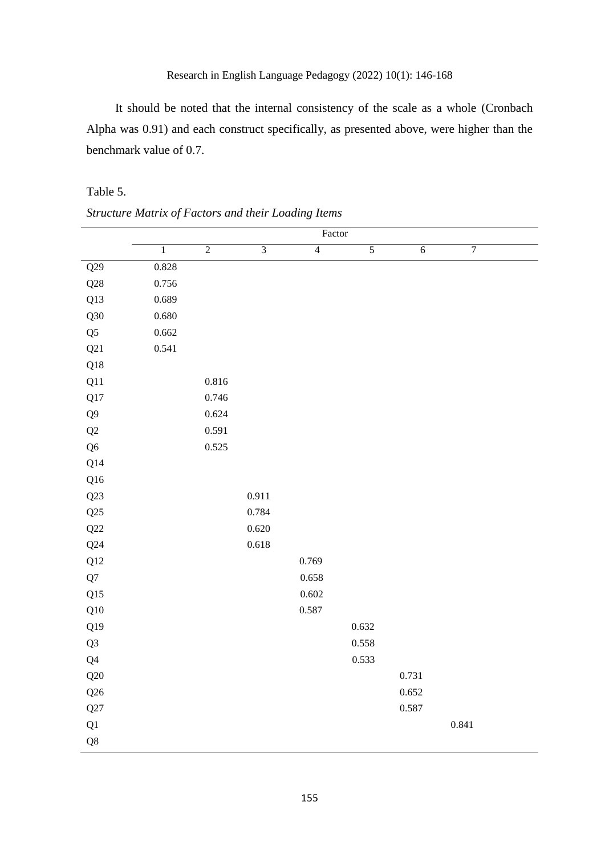It should be noted that the internal consistency of the scale as a whole (Cronbach Alpha was 0.91) and each construct specifically, as presented above, were higher than the benchmark value of 0.7.

# Table 5.

|                | Factor |                |                |                |                |            |                |
|----------------|--------|----------------|----------------|----------------|----------------|------------|----------------|
|                | $\,1$  | $\overline{2}$ | $\overline{3}$ | $\overline{4}$ | $\overline{5}$ | $\sqrt{6}$ | $\overline{7}$ |
| Q29            | 0.828  |                |                |                |                |            |                |
| Q28            | 0.756  |                |                |                |                |            |                |
| Q13            | 0.689  |                |                |                |                |            |                |
| Q30            | 0.680  |                |                |                |                |            |                |
| Q <sub>5</sub> | 0.662  |                |                |                |                |            |                |
| Q21            | 0.541  |                |                |                |                |            |                |
| Q18            |        |                |                |                |                |            |                |
| Q11            |        | 0.816          |                |                |                |            |                |
| $\mathbf{Q}17$ |        | 0.746          |                |                |                |            |                |
| Q <sub>9</sub> |        | 0.624          |                |                |                |            |                |
| $\mathbf{Q}2$  |        | 0.591          |                |                |                |            |                |
| Q <sub>6</sub> |        | 0.525          |                |                |                |            |                |
| Q14            |        |                |                |                |                |            |                |
| Q16            |        |                |                |                |                |            |                |
| Q23            |        |                | 0.911          |                |                |            |                |
| Q25            |        |                | 0.784          |                |                |            |                |
| Q22            |        |                | 0.620          |                |                |            |                |
| Q24            |        |                | 0.618          |                |                |            |                |
| $\mathbf{Q}12$ |        |                |                | 0.769          |                |            |                |
| Q7             |        |                |                | 0.658          |                |            |                |
| Q15            |        |                |                | 0.602          |                |            |                |
| Q10            |        |                |                | 0.587          |                |            |                |
| Q19            |        |                |                |                | 0.632          |            |                |
| Q <sub>3</sub> |        |                |                |                | 0.558          |            |                |
| $\mathsf{Q}4$  |        |                |                |                | 0.533          |            |                |
| Q20            |        |                |                |                |                | 0.731      |                |
| Q26            |        |                |                |                |                | 0.652      |                |
| Q27            |        |                |                |                |                | 0.587      |                |
| Q1             |        |                |                |                |                |            | 0.841          |
| Q8             |        |                |                |                |                |            |                |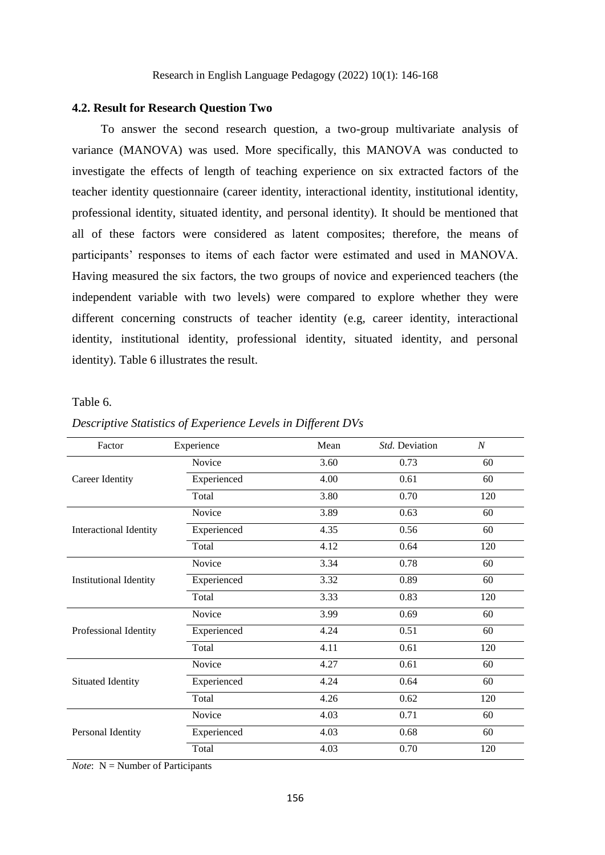# **4.2. Result for Research Question Two**

To answer the second research question, a two-group multivariate analysis of variance (MANOVA) was used. More specifically, this MANOVA was conducted to investigate the effects of length of teaching experience on six extracted factors of the teacher identity questionnaire (career identity, interactional identity, institutional identity, professional identity, situated identity, and personal identity). It should be mentioned that all of these factors were considered as latent composites; therefore, the means of participants' responses to items of each factor were estimated and used in MANOVA. Having measured the six factors, the two groups of novice and experienced teachers (the independent variable with two levels) were compared to explore whether they were different concerning constructs of teacher identity (e.g, career identity, interactional identity, institutional identity, professional identity, situated identity, and personal identity). Table 6 illustrates the result.

#### Table 6.

| Factor                        | Experience    | Mean | Std. Deviation | $\boldsymbol{N}$ |
|-------------------------------|---------------|------|----------------|------------------|
|                               | <b>Novice</b> | 3.60 | 0.73           | 60               |
| Career Identity               | Experienced   | 4.00 | 0.61           | 60               |
|                               | Total         | 3.80 | 0.70           | 120              |
|                               | Novice        | 3.89 | 0.63           | 60               |
| Interactional Identity        | Experienced   | 4.35 | 0.56           | 60               |
|                               | Total         | 4.12 | 0.64           | 120              |
| <b>Institutional Identity</b> | Novice        | 3.34 | 0.78           | 60               |
|                               | Experienced   | 3.32 | 0.89           | 60               |
|                               | Total         | 3.33 | 0.83           | 120              |
|                               | Novice        | 3.99 | 0.69           | 60               |
| Professional Identity         | Experienced   | 4.24 | 0.51           | 60               |
|                               | Total         | 4.11 | 0.61           | 120              |
|                               | Novice        | 4.27 | 0.61           | 60               |
| <b>Situated Identity</b>      | Experienced   | 4.24 | 0.64           | 60               |
|                               | Total         | 4.26 | 0.62           | 120              |
|                               | Novice        | 4.03 | 0.71           | 60               |
| Personal Identity             | Experienced   | 4.03 | 0.68           | 60               |
|                               | Total         | 4.03 | 0.70           | 120              |

#### *Descriptive Statistics of Experience Levels in Different DVs*

*Note*:  $N =$  Number of Participants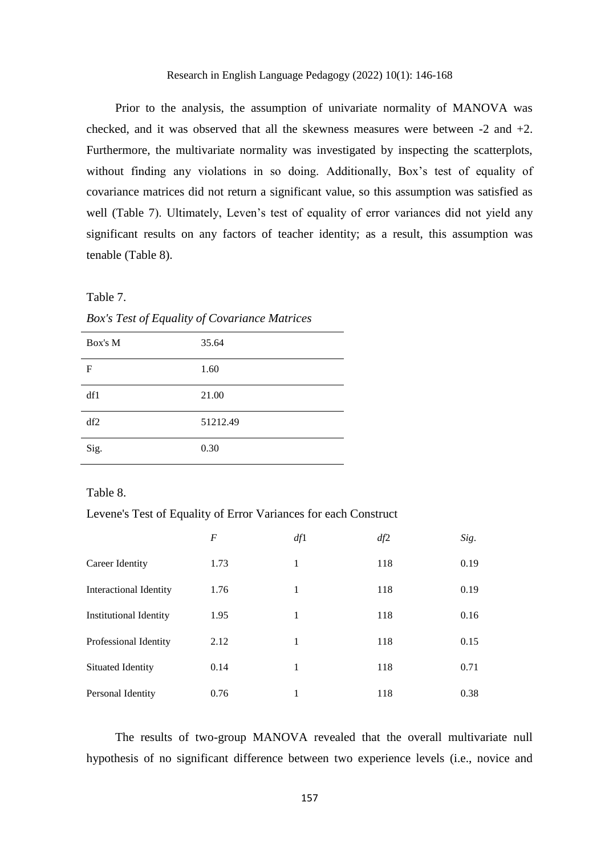Prior to the analysis, the assumption of univariate normality of MANOVA was checked, and it was observed that all the skewness measures were between -2 and +2. Furthermore, the multivariate normality was investigated by inspecting the scatterplots, without finding any violations in so doing. Additionally, Box's test of equality of covariance matrices did not return a significant value, so this assumption was satisfied as well (Table 7). Ultimately, Leven's test of equality of error variances did not yield any significant results on any factors of teacher identity; as a result, this assumption was tenable (Table 8).

Table 7.

*Box's Test of Equality of Covariance Matrices*

| Box's M    | 35.64    |
|------------|----------|
| $_{\rm F}$ | 1.60     |
| df1        | 21.00    |
| df2        | 51212.49 |
| Sig.       | 0.30     |

Table 8.

Levene's Test of Equality of Error Variances for each Construct

|                        | F    | df1 | df2 | Sig. |
|------------------------|------|-----|-----|------|
| Career Identity        | 1.73 | 1   | 118 | 0.19 |
| Interactional Identity | 1.76 | 1   | 118 | 0.19 |
| Institutional Identity | 1.95 | 1   | 118 | 0.16 |
| Professional Identity  | 2.12 | 1   | 118 | 0.15 |
| Situated Identity      | 0.14 | 1   | 118 | 0.71 |
| Personal Identity      | 0.76 | 1   | 118 | 0.38 |

The results of two-group MANOVA revealed that the overall multivariate null hypothesis of no significant difference between two experience levels (i.e., novice and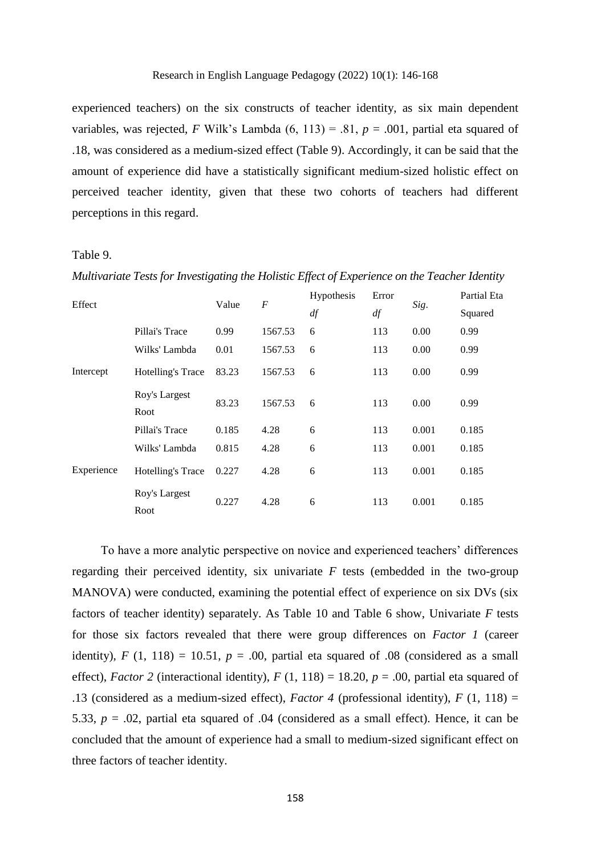experienced teachers) on the six constructs of teacher identity, as six main dependent variables, was rejected, *F* Wilk's Lambda  $(6, 113) = .81$ ,  $p = .001$ , partial eta squared of .18, was considered as a medium-sized effect (Table 9). Accordingly, it can be said that the amount of experience did have a statistically significant medium-sized holistic effect on perceived teacher identity, given that these two cohorts of teachers had different perceptions in this regard.

# Table 9.

|            |                       | Value | $\cal F$ | Hypothesis | Error |       | Partial Eta |
|------------|-----------------------|-------|----------|------------|-------|-------|-------------|
| Effect     |                       |       |          | df         | df    | Sig.  | Squared     |
|            | Pillai's Trace        | 0.99  | 1567.53  | 6          | 113   | 0.00  | 0.99        |
| Intercept  | Wilks' Lambda         | 0.01  | 1567.53  | 6          | 113   | 0.00  | 0.99        |
|            | Hotelling's Trace     | 83.23 | 1567.53  | 6          | 113   | 0.00  | 0.99        |
|            | Roy's Largest<br>Root | 83.23 | 1567.53  | 6          | 113   | 0.00  | 0.99        |
|            | Pillai's Trace        | 0.185 | 4.28     | 6          | 113   | 0.001 | 0.185       |
| Experience | Wilks' Lambda         | 0.815 | 4.28     | 6          | 113   | 0.001 | 0.185       |
|            | Hotelling's Trace     | 0.227 | 4.28     | 6          | 113   | 0.001 | 0.185       |
|            | Roy's Largest<br>Root | 0.227 | 4.28     | 6          | 113   | 0.001 | 0.185       |

*Multivariate Tests for Investigating the Holistic Effect of Experience on the Teacher Identity*

To have a more analytic perspective on novice and experienced teachers' differences regarding their perceived identity, six univariate *F* tests (embedded in the two-group MANOVA) were conducted, examining the potential effect of experience on six DVs (six factors of teacher identity) separately. As Table 10 and Table 6 show, Univariate *F* tests for those six factors revealed that there were group differences on *Factor 1* (career identity),  $F(1, 118) = 10.51$ ,  $p = .00$ , partial eta squared of .08 (considered as a small effect), *Factor* 2 (interactional identity),  $F(1, 118) = 18.20$ ,  $p = .00$ , partial eta squared of .13 (considered as a medium-sized effect), *Factor 4* (professional identity), *F* (1, 118) = 5.33,  $p = .02$ , partial eta squared of .04 (considered as a small effect). Hence, it can be concluded that the amount of experience had a small to medium-sized significant effect on three factors of teacher identity.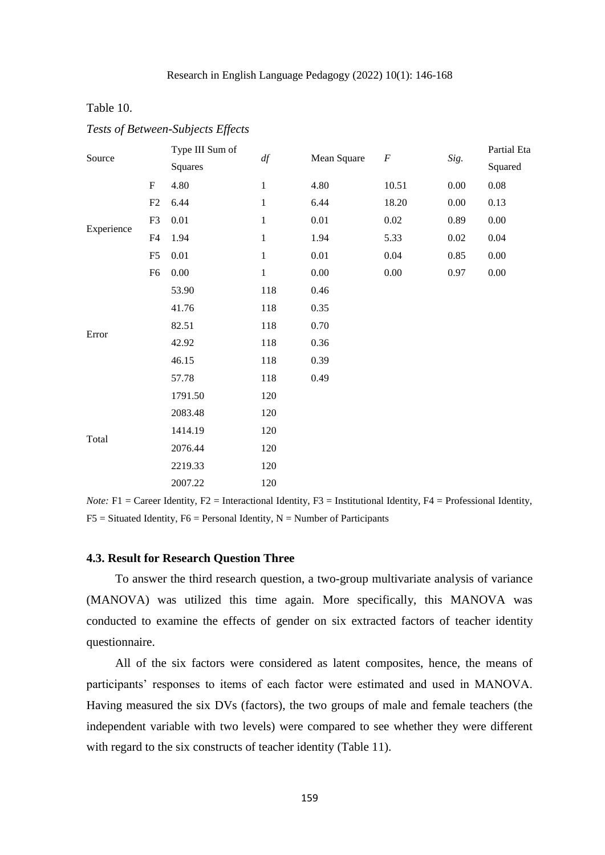# Table 10.

| Source     |                | Type III Sum of |              | Mean Square | $\cal F$ |          | Partial Eta |
|------------|----------------|-----------------|--------------|-------------|----------|----------|-------------|
|            |                | Squares         | df           |             |          | Sig.     | Squared     |
|            | ${\bf F}$      | 4.80            | $\mathbf{1}$ | 4.80        | 10.51    | $0.00\,$ | $0.08\,$    |
| Experience | F2             | 6.44            | $\mathbf{1}$ | 6.44        | 18.20    | $0.00\,$ | 0.13        |
|            | F <sub>3</sub> | 0.01            | $\mathbf{1}$ | $0.01\,$    | $0.02\,$ | 0.89     | $0.00\,$    |
|            | F4             | 1.94            | $\mathbf{1}$ | 1.94        | 5.33     | 0.02     | 0.04        |
|            | F <sub>5</sub> | 0.01            | $\mathbf{1}$ | 0.01        | 0.04     | 0.85     | $0.00\,$    |
|            | F <sub>6</sub> | $0.00\,$        | $\mathbf{1}$ | $0.00\,$    | $0.00\,$ | 0.97     | $0.00\,$    |
|            |                | 53.90           | 118          | 0.46        |          |          |             |
|            |                | 41.76           | 118          | 0.35        |          |          |             |
| Error      |                | 82.51           | 118          | 0.70        |          |          |             |
|            |                | 42.92           | 118          | 0.36        |          |          |             |
|            |                | 46.15           | 118          | 0.39        |          |          |             |
|            |                | 57.78           | 118          | 0.49        |          |          |             |
|            |                | 1791.50         | 120          |             |          |          |             |
|            |                | 2083.48         | 120          |             |          |          |             |
| Total      |                | 1414.19         | 120          |             |          |          |             |
|            |                | 2076.44         | 120          |             |          |          |             |
|            |                | 2219.33         | 120          |             |          |          |             |
|            |                | 2007.22         | 120          |             |          |          |             |

*Note:* F1 = Career Identity, F2 = Interactional Identity, F3 = Institutional Identity, F4 = Professional Identity,  $F5 =$  Situated Identity,  $F6 =$  Personal Identity,  $N =$  Number of Participants

# **4.3. Result for Research Question Three**

To answer the third research question, a two-group multivariate analysis of variance (MANOVA) was utilized this time again. More specifically, this MANOVA was conducted to examine the effects of gender on six extracted factors of teacher identity questionnaire.

All of the six factors were considered as latent composites, hence, the means of participants' responses to items of each factor were estimated and used in MANOVA. Having measured the six DVs (factors), the two groups of male and female teachers (the independent variable with two levels) were compared to see whether they were different with regard to the six constructs of teacher identity (Table 11).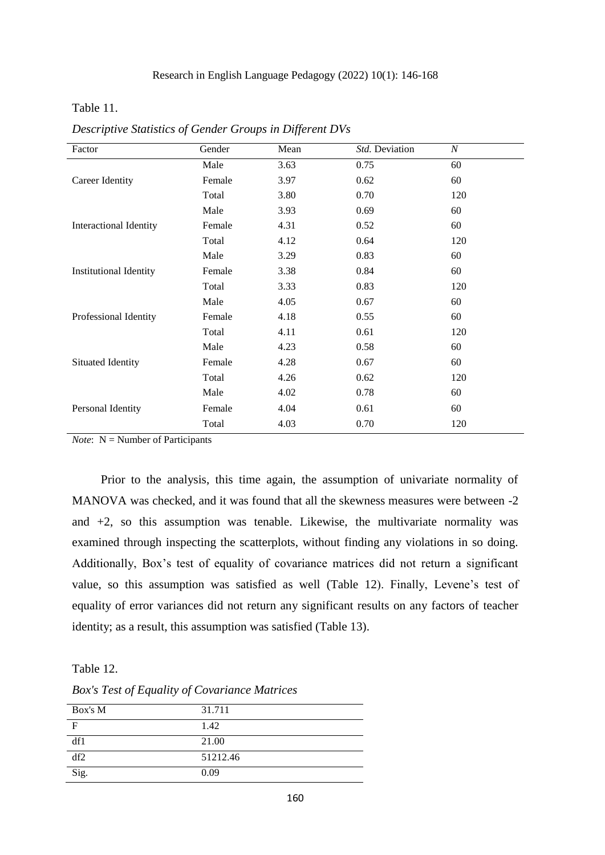Table 11.

| Factor                        | Gender | Mean | Std. Deviation | $\boldsymbol{N}$ |
|-------------------------------|--------|------|----------------|------------------|
|                               | Male   | 3.63 | 0.75           | 60               |
| Career Identity               | Female | 3.97 | 0.62           | 60               |
|                               | Total  | 3.80 | 0.70           | 120              |
|                               | Male   | 3.93 | 0.69           | 60               |
| <b>Interactional Identity</b> | Female | 4.31 | 0.52           | 60               |
|                               | Total  | 4.12 | 0.64           | 120              |
|                               | Male   | 3.29 | 0.83           | 60               |
| <b>Institutional Identity</b> | Female | 3.38 | 0.84           | 60               |
|                               | Total  | 3.33 | 0.83           | 120              |
|                               | Male   | 4.05 | 0.67           | 60               |
| Professional Identity         | Female | 4.18 | 0.55           | 60               |
|                               | Total  | 4.11 | 0.61           | 120              |
|                               | Male   | 4.23 | 0.58           | 60               |
| <b>Situated Identity</b>      | Female | 4.28 | 0.67           | 60               |
|                               | Total  | 4.26 | 0.62           | 120              |
|                               | Male   | 4.02 | 0.78           | 60               |
| Personal Identity             | Female | 4.04 | 0.61           | 60               |
|                               | Total  | 4.03 | 0.70           | 120              |
|                               |        |      |                |                  |

*Descriptive Statistics of Gender Groups in Different DVs*

*Note*:  $N =$  Number of Participants

Prior to the analysis, this time again, the assumption of univariate normality of MANOVA was checked, and it was found that all the skewness measures were between -2 and  $+2$ , so this assumption was tenable. Likewise, the multivariate normality was examined through inspecting the scatterplots, without finding any violations in so doing. Additionally, Box's test of equality of covariance matrices did not return a significant value, so this assumption was satisfied as well (Table 12). Finally, Levene's test of equality of error variances did not return any significant results on any factors of teacher identity; as a result, this assumption was satisfied (Table 13).

Table 12.

*Box's Test of Equality of Covariance Matrices*

| Box's M | 31.711   |
|---------|----------|
| F       | 1.42     |
| df1     | 21.00    |
| df2     | 51212.46 |
| Sig.    | 0.09     |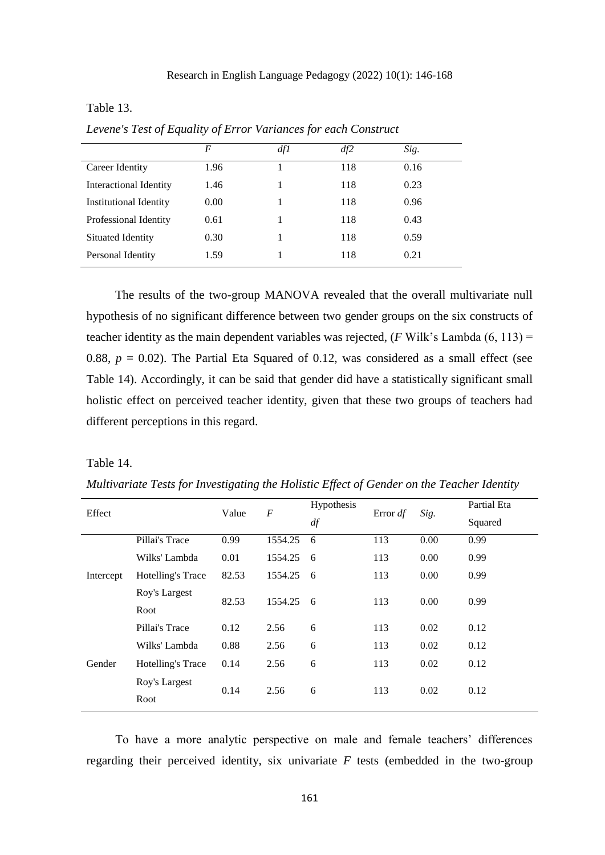Table 13.

*F df1 df2 Sig.* Career Identity 1.96 1 118 0.16 Interactional Identity 1.46 1 118 0.23 Institutional Identity  $0.00$  1 118 0.96 Professional Identity  $0.61$  118 0.43 Situated Identity 0.30 1 118 0.59 Personal Identity 1.59 1 118 0.21

*Levene's Test of Equality of Error Variances for each Construct*

The results of the two-group MANOVA revealed that the overall multivariate null hypothesis of no significant difference between two gender groups on the six constructs of teacher identity as the main dependent variables was rejected,  $(F$  Wilk's Lambda  $(6, 113)$  = 0.88,  $p = 0.02$ ). The Partial Eta Squared of 0.12, was considered as a small effect (see Table 14). Accordingly, it can be said that gender did have a statistically significant small holistic effect on perceived teacher identity, given that these two groups of teachers had different perceptions in this regard.

Table 14.

| Effect    |                          | $\boldsymbol{F}$<br>Value |         | Hypothesis | Error $df$ | Sig. | Partial Eta |
|-----------|--------------------------|---------------------------|---------|------------|------------|------|-------------|
|           |                          |                           |         | df         |            |      | Squared     |
|           | Pillai's Trace           | 0.99                      | 1554.25 | 6          | 113        | 0.00 | 0.99        |
| Intercept | Wilks' Lambda            | 0.01                      | 1554.25 | - 6        | 113        | 0.00 | 0.99        |
|           | Hotelling's Trace        | 82.53                     | 1554.25 | - 6        | 113        | 0.00 | 0.99        |
|           | Roy's Largest            | 82.53                     | 1554.25 | 6          | 113        | 0.00 | 0.99        |
|           | Root                     |                           |         |            |            |      |             |
| Gender    | Pillai's Trace           | 0.12                      | 2.56    | 6          | 113        | 0.02 | 0.12        |
|           | Wilks' Lambda            | 0.88                      | 2.56    | 6          | 113        | 0.02 | 0.12        |
|           | <b>Hotelling's Trace</b> | 0.14                      | 2.56    | 6          | 113        | 0.02 | 0.12        |
|           | Roy's Largest            | 0.14                      | 2.56    | 6          | 113        | 0.02 | 0.12        |
|           | Root                     |                           |         |            |            |      |             |

*Multivariate Tests for Investigating the Holistic Effect of Gender on the Teacher Identity*

To have a more analytic perspective on male and female teachers' differences regarding their perceived identity, six univariate *F* tests (embedded in the two-group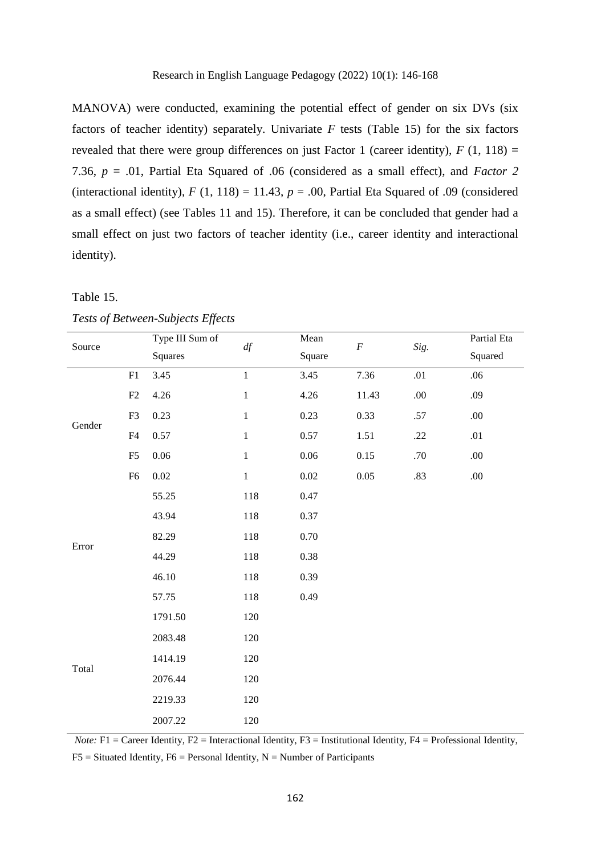MANOVA) were conducted, examining the potential effect of gender on six DVs (six factors of teacher identity) separately. Univariate  $F$  tests (Table 15) for the six factors revealed that there were group differences on just Factor 1 (career identity),  $F(1, 118) =$ 7.36, *p* = .01, Partial Eta Squared of .06 (considered as a small effect), and *Factor 2* (interactional identity),  $F(1, 118) = 11.43$ ,  $p = .00$ , Partial Eta Squared of .09 (considered as a small effect) (see Tables 11 and 15). Therefore, it can be concluded that gender had a small effect on just two factors of teacher identity (i.e., career identity and interactional identity).

# Table 15.

| Source |            | Type III Sum of |              | Mean     | $\cal F$ |         | Partial Eta |
|--------|------------|-----------------|--------------|----------|----------|---------|-------------|
|        |            | Squares         | $d\!f$       | Square   |          | Sig.    | Squared     |
|        | ${\rm F}1$ | 3.45            | $\,1$        | 3.45     | 7.36     | .01     | .06         |
|        | F2         | 4.26            | $\,1$        | 4.26     | 11.43    | .00.    | .09         |
|        | ${\rm F}3$ | 0.23            | $\mathbf{1}$ | 0.23     | 0.33     | .57     | .00.        |
| Gender | ${\rm F4}$ | 0.57            | $\mathbf{1}$ | $0.57\,$ | 1.51     | .22     | $.01\,$     |
|        | ${\rm F}5$ | $0.06\,$        | $\,1\,$      | 0.06     | $0.15\,$ | $.70\,$ | .00.        |
|        | ${\rm F6}$ | $0.02\,$        | $\,1$        | $0.02\,$ | 0.05     | .83     | $.00\,$     |
|        |            | 55.25           | 118          | 0.47     |          |         |             |
|        |            | 43.94           | 118          | 0.37     |          |         |             |
| Error  |            | 82.29           | 118          | 0.70     |          |         |             |
|        |            | 44.29           | 118          | 0.38     |          |         |             |
|        |            | 46.10           | 118          | 0.39     |          |         |             |
|        |            | 57.75           | 118          | 0.49     |          |         |             |
|        |            | 1791.50         | 120          |          |          |         |             |
|        |            | 2083.48         | 120          |          |          |         |             |
| Total  |            | 1414.19         | 120          |          |          |         |             |
|        |            | 2076.44         | 120          |          |          |         |             |
|        |            | 2219.33         | $120\,$      |          |          |         |             |
|        |            | 2007.22         | 120          |          |          |         |             |

|  | Tests of Between-Subjects Effects |  |  |
|--|-----------------------------------|--|--|
|  |                                   |  |  |

*Note:*  $F1 =$  Career Identity,  $F2 =$  Interactional Identity,  $F3 =$  Institutional Identity,  $F4 =$  Professional Identity,

 $F5 =$  Situated Identity,  $F6 =$  Personal Identity,  $N =$  Number of Participants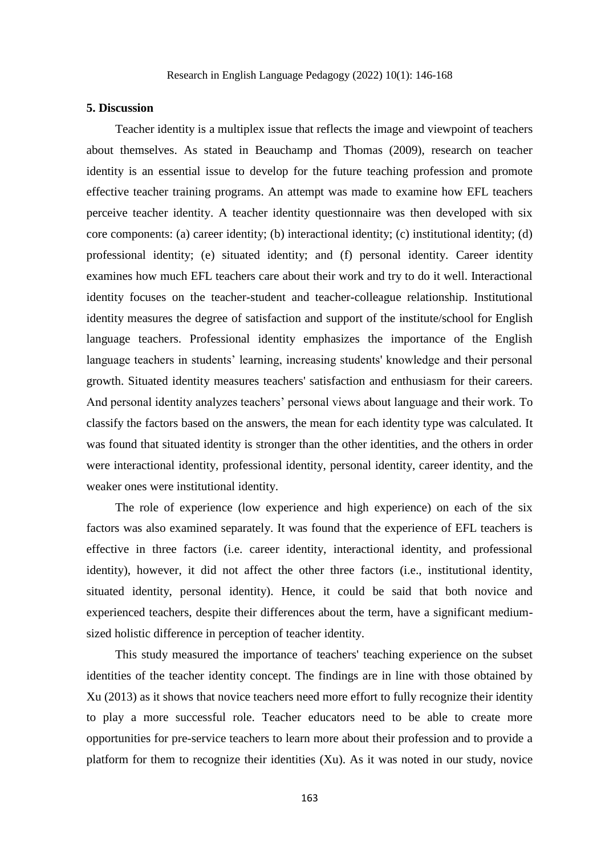### **5. Discussion**

Teacher identity is a multiplex issue that reflects the image and viewpoint of teachers about themselves. As stated in Beauchamp and Thomas (2009), research on teacher identity is an essential issue to develop for the future teaching profession and promote effective teacher training programs. An attempt was made to examine how EFL teachers perceive teacher identity. A teacher identity questionnaire was then developed with six core components: (a) career identity; (b) interactional identity; (c) institutional identity; (d) professional identity; (e) situated identity; and (f) personal identity. Career identity examines how much EFL teachers care about their work and try to do it well. Interactional identity focuses on the teacher-student and teacher-colleague relationship. Institutional identity measures the degree of satisfaction and support of the institute/school for English language teachers. Professional identity emphasizes the importance of the English language teachers in students' learning, increasing students' knowledge and their personal growth. Situated identity measures teachers' satisfaction and enthusiasm for their careers. And personal identity analyzes teachers' personal views about language and their work. To classify the factors based on the answers, the mean for each identity type was calculated. It was found that situated identity is stronger than the other identities, and the others in order were interactional identity, professional identity, personal identity, career identity, and the weaker ones were institutional identity.

The role of experience (low experience and high experience) on each of the six factors was also examined separately. It was found that the experience of EFL teachers is effective in three factors (i.e. career identity, interactional identity, and professional identity), however, it did not affect the other three factors (i.e., institutional identity, situated identity, personal identity). Hence, it could be said that both novice and experienced teachers, despite their differences about the term, have a significant mediumsized holistic difference in perception of teacher identity.

This study measured the importance of teachers' teaching experience on the subset identities of the teacher identity concept. The findings are in line with those obtained by Xu (2013) as it shows that novice teachers need more effort to fully recognize their identity to play a more successful role. Teacher educators need to be able to create more opportunities for pre-service teachers to learn more about their profession and to provide a platform for them to recognize their identities (Xu). As it was noted in our study, novice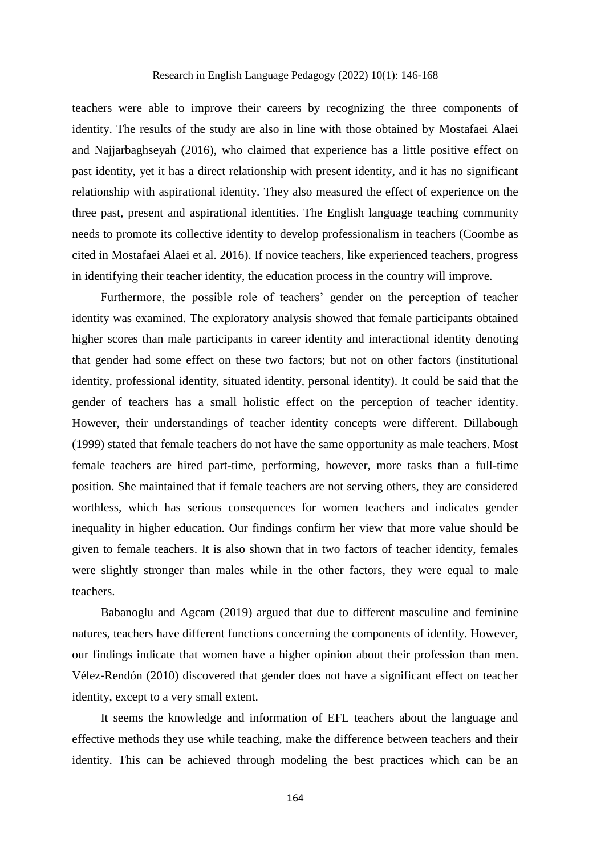teachers were able to improve their careers by recognizing the three components of identity. The results of the study are also in line with those obtained by Mostafaei Alaei and Najjarbaghseyah (2016), who claimed that experience has a little positive effect on past identity, yet it has a direct relationship with present identity, and it has no significant relationship with aspirational identity. They also measured the effect of experience on the three past, present and aspirational identities. The English language teaching community needs to promote its collective identity to develop professionalism in teachers (Coombe as cited in Mostafaei Alaei et al. 2016). If novice teachers, like experienced teachers, progress in identifying their teacher identity, the education process in the country will improve.

Furthermore, the possible role of teachers' gender on the perception of teacher identity was examined. The exploratory analysis showed that female participants obtained higher scores than male participants in career identity and interactional identity denoting that gender had some effect on these two factors; but not on other factors (institutional identity, professional identity, situated identity, personal identity). It could be said that the gender of teachers has a small holistic effect on the perception of teacher identity. However, their understandings of teacher identity concepts were different. Dillabough (1999) stated that female teachers do not have the same opportunity as male teachers. Most female teachers are hired part-time, performing, however, more tasks than a full-time position. She maintained that if female teachers are not serving others, they are considered worthless, which has serious consequences for women teachers and indicates gender inequality in higher education. Our findings confirm her view that more value should be given to female teachers. It is also shown that in two factors of teacher identity, females were slightly stronger than males while in the other factors, they were equal to male teachers.

Babanoglu and Agcam (2019) argued that due to different masculine and feminine natures, teachers have different functions concerning the components of identity. However, our findings indicate that women have a higher opinion about their profession than men. Vélez‐Rendón (2010) discovered that gender does not have a significant effect on teacher identity, except to a very small extent.

It seems the knowledge and information of EFL teachers about the language and effective methods they use while teaching, make the difference between teachers and their identity. This can be achieved through modeling the best practices which can be an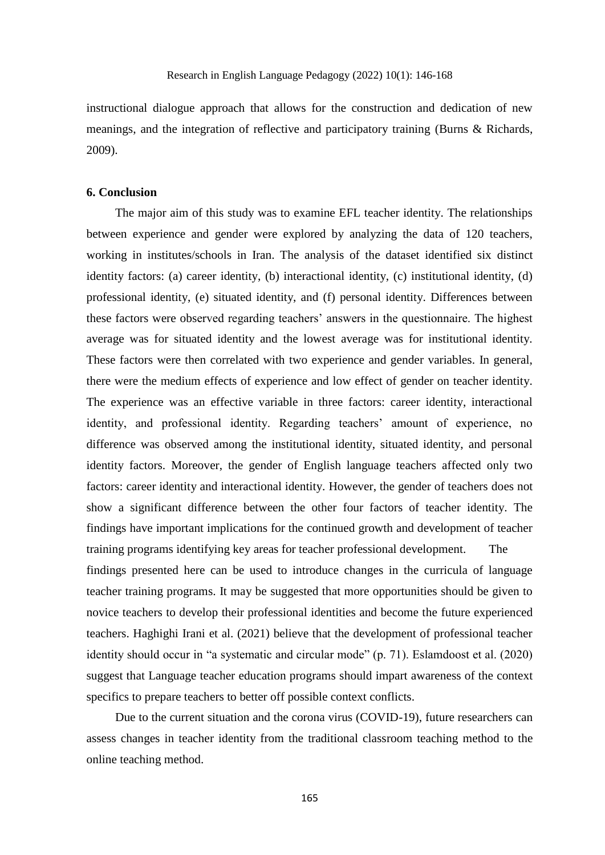instructional dialogue approach that allows for the construction and dedication of new meanings, and the integration of reflective and participatory training (Burns & Richards, 2009).

### **6. Conclusion**

The major aim of this study was to examine EFL teacher identity. The relationships between experience and gender were explored by analyzing the data of 120 teachers, working in institutes/schools in Iran. The analysis of the dataset identified six distinct identity factors: (a) career identity, (b) interactional identity, (c) institutional identity, (d) professional identity, (e) situated identity, and (f) personal identity. Differences between these factors were observed regarding teachers' answers in the questionnaire. The highest average was for situated identity and the lowest average was for institutional identity. These factors were then correlated with two experience and gender variables. In general, there were the medium effects of experience and low effect of gender on teacher identity. The experience was an effective variable in three factors: career identity, interactional identity, and professional identity. Regarding teachers' amount of experience, no difference was observed among the institutional identity, situated identity, and personal identity factors. Moreover, the gender of English language teachers affected only two factors: career identity and interactional identity. However, the gender of teachers does not show a significant difference between the other four factors of teacher identity. The findings have important implications for the continued growth and development of teacher training programs identifying key areas for teacher professional development. The findings presented here can be used to introduce changes in the curricula of language teacher training programs. It may be suggested that more opportunities should be given to novice teachers to develop their professional identities and become the future experienced teachers. Haghighi Irani et al. (2021) believe that the development of professional teacher identity should occur in "a systematic and circular mode" (p. 71). Eslamdoost et al. (2020) suggest that Language teacher education programs should impart awareness of the context specifics to prepare teachers to better off possible context conflicts.

Due to the current situation and the corona virus (COVID-19), future researchers can assess changes in teacher identity from the traditional classroom teaching method to the online teaching method.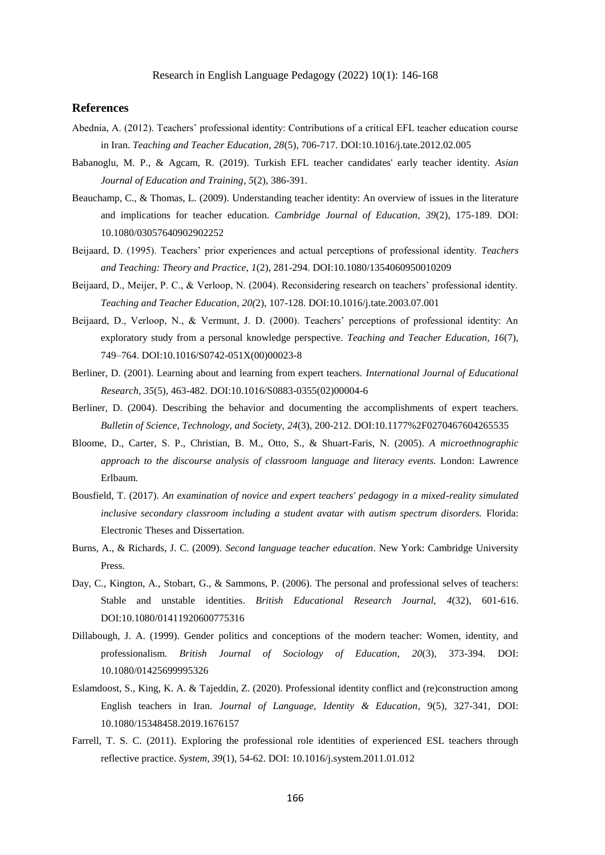### **References**

- Abednia, A. (2012). Teachers' professional identity: Contributions of a critical EFL teacher education course in Iran. *Teaching and Teacher Education, 28*(5), 706-717. DOI:10.1016/j.tate.2012.02.005
- Babanoglu, M. P., & Agcam, R. (2019). Turkish EFL teacher candidates' early teacher identity. *Asian Journal of Education and Training*, *5*(2), 386-391.
- Beauchamp, C., & Thomas, L. (2009). Understanding teacher identity: An overview of issues in the literature and implications for teacher education. *Cambridge Journal of Education, 39*(2), 175-189. DOI: 10.1080/03057640902902252
- Beijaard, D. (1995). Teachers' prior experiences and actual perceptions of professional identity. *Teachers and Teaching: Theory and Practice, 1*(2), 281-294. DOI:10.1080/1354060950010209
- Beijaard, D., Meijer, P. C., & Verloop, N. (2004). Reconsidering research on teachers' professional identity. *Teaching and Teacher Education, 20(*2), 107-128. DOI:10.1016/j.tate.2003.07.001
- Beijaard, D., Verloop, N., & Vermunt, J. D. (2000). Teachers' perceptions of professional identity: An exploratory study from a personal knowledge perspective. *Teaching and Teacher Education, 16*(7), 749–764. DOI:10.1016/S0742-051X(00)00023-8
- Berliner, D. (2001). Learning about and learning from expert teachers. *International Journal of Educational Research, 35*(5), 463-482. DOI:10.1016/S0883-0355(02)00004-6
- Berliner, D. (2004). Describing the behavior and documenting the accomplishments of expert teachers. *Bulletin of Science, Technology, and Society, 24*(3), 200-212. DOI:10.1177%2F0270467604265535
- Bloome, D., Carter, S. P., Christian, B. M., Otto, S., & Shuart-Faris, N. (2005). *A microethnographic approach to the discourse analysis of classroom language and literacy events.* London: Lawrence Erlbaum.
- Bousfield, T. (2017). *An examination of novice and expert teachers' pedagogy in a mixed-reality simulated inclusive secondary classroom including a student avatar with autism spectrum disorders.* Florida: Electronic Theses and Dissertation.
- Burns, A., & Richards, J. C. (2009). *Second language teacher education*. New York: Cambridge University Press.
- Day, C., Kington, A., Stobart, G., & Sammons, P. (2006). The personal and professional selves of teachers: Stable and unstable identities. *British Educational Research Journal, 4*(32), 601-616. DOI:10.1080/01411920600775316
- Dillabough, J. A. (1999). Gender politics and conceptions of the modern teacher: Women, identity, and professionalism. *British Journal of Sociology of Education, 20*(3), 373-394. DOI: 10.1080/01425699995326
- Eslamdoost, S., King, K. A. & Tajeddin, Z. (2020). Professional identity conflict and (re)construction among English teachers in Iran. *Journal of Language, Identity & Education*, 9(5), 327-341, DOI: 10.1080/15348458.2019.1676157
- Farrell, T. S. C. (2011). Exploring the professional role identities of experienced ESL teachers through reflective practice. *System, 39*(1), 54-62. DOI: 10.1016/j.system.2011.01.012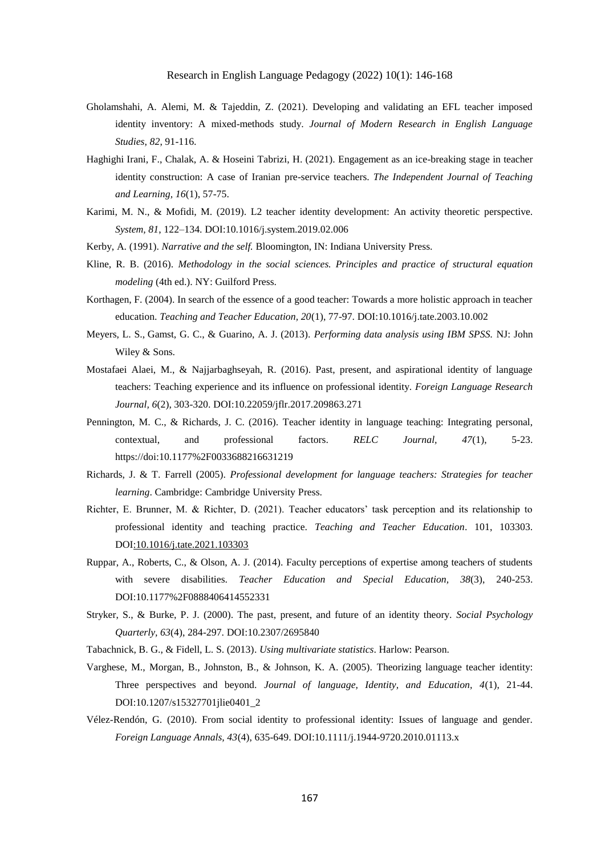- Gholamshahi, A. Alemi, M. & Tajeddin, Z. (2021). Developing and validating an EFL teacher imposed identity inventory: A mixed-methods study. *Journal of Modern Research in English Language Studies*, *82*, 91-116.
- Haghighi Irani, F., Chalak, A. & Hoseini Tabrizi, H. (2021). Engagement as an ice-breaking stage in teacher identity construction: A case of Iranian pre-service teachers. *The Independent Journal of Teaching and Learning, 16*(1), 57-75.
- Karimi, M. N., & Mofidi, M. (2019). L2 teacher identity development: An activity theoretic perspective. *System, 81*, 122–134. DOI:10.1016/j.system.2019.02.006
- Kerby, A. (1991). *Narrative and the self.* Bloomington, IN: Indiana University Press.
- Kline, R. B. (2016). *Methodology in the social sciences. Principles and practice of structural equation modeling* (4th ed.). NY: Guilford Press.
- Korthagen, F. (2004). In search of the essence of a good teacher: Towards a more holistic approach in teacher education. *Teaching and Teacher Education, 20*(1), 77-97. DOI:10.1016/j.tate.2003.10.002
- Meyers, L. S., Gamst, G. C., & Guarino, A. J. (2013). *Performing data analysis using IBM SPSS.* NJ: John Wiley & Sons.
- Mostafaei Alaei, M., & Najjarbaghseyah, R. (2016). Past, present, and aspirational identity of language teachers: Teaching experience and its influence on professional identity. *Foreign Language Research Journal, 6*(2), 303-320. DOI:10.22059/jflr.2017.209863.271
- Pennington, M. C., & Richards, J. C. (2016). Teacher identity in language teaching: Integrating personal, contextual, and professional factors. *RELC Journal, 47*(1), 5-23. https://doi:10.1177%2F0033688216631219
- Richards, J. & T. Farrell (2005). *Professional development for language teachers: Strategies for teacher learning*. Cambridge: Cambridge University Press.
- Richter, E. Brunner, M. & Richter, D. (2021). Teacher educators' task perception and its relationship to professional identity and teaching practice. *Teaching and Teacher Education*. 101, 103303. [DOI:10.1016/j.tate.2021.103303](https://doi.org/10.1016/j.tate.2021.103303)
- Ruppar, A., Roberts, C., & Olson, A. J. (2014). Faculty perceptions of expertise among teachers of students with severe disabilities. *Teacher Education and Special Education, 38*(3), 240-253. DOI:10.1177%2F0888406414552331
- Stryker, S., & Burke, P. J. (2000). The past, present, and future of an identity theory. *Social Psychology Quarterly, 63*(4), 284-297. DOI:10.2307/2695840
- Tabachnick, B. G., & Fidell, L. S. (2013). *Using multivariate statistics*. Harlow: Pearson.
- Varghese, M., Morgan, B., Johnston, B., & Johnson, K. A. (2005). Theorizing language teacher identity: Three perspectives and beyond. *Journal of language, Identity, and Education, 4*(1), 21-44. DOI:10.1207/s15327701jlie0401\_2
- Vélez-Rendón, G. (2010). From social identity to professional identity: Issues of language and gender. *Foreign Language Annals, 43*(4), 635-649. DOI:10.1111/j.1944-9720.2010.01113.x